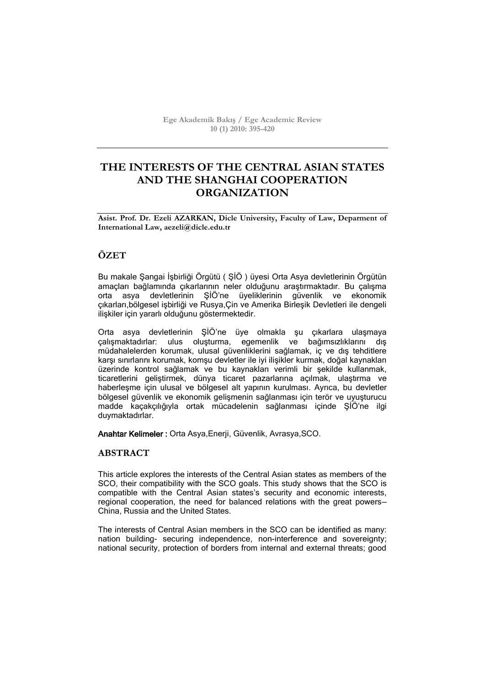**Ege Akademik Bakış / Ege Academic Review 10 (1) 2010: 395-420**

# **THE INTERESTS OF THE CENTRAL ASIAN STATES AND THE SHANGHAI COOPERATION ORGANIZATION**

**Asist. Prof. Dr. Ezeli AZARKAN, Dicle University, Faculty of Law, Deparment of International Law, aezeli@dicle.edu.tr**

## **ÖZET**

Bu makale Şangai İşbirliği Örgütü ( ŞİÖ ) üyesi Orta Asya devletlerinin Örgütün amaçları bağlamında çıkarlarının neler olduğunu araştırmaktadır. Bu çalışma orta asya devletlerinin ŞİÖ'ne üyeliklerinin güvenlik ve ekonomik çıkarları,bölgesel işbirliği ve Rusya,Çin ve Amerika Birleşik Devletleri ile dengeli ilişkiler için yararlı olduğunu göstermektedir.

Orta asya devletlerinin ŞİÖ'ne üye olmakla şu çıkarlara ulaşmaya çalışmaktadırlar: ulus oluşturma, egemenlik ve bağımsızlıklarını dış müdahalelerden korumak, ulusal güvenliklerini sağlamak, iç ve dış tehditlere karşı sınırlarını korumak, komşu devletler ile iyi ilişikler kurmak, doğal kaynakları üzerinde kontrol sağlamak ve bu kaynakları verimli bir şekilde kullanmak, ticaretlerini geliştirmek, dünya ticaret pazarlarına açılmak, ulaştırma ve haberleşme için ulusal ve bölgesel alt yapının kurulması. Ayrıca, bu devletler bölgesel güvenlik ve ekonomik gelişmenin sağlanması için terör ve uyuşturucu madde kaçakçılığıyla ortak mücadelenin sağlanması içinde ŞİÖ'ne ilgi duymaktadırlar.

Anahtar Kelimeler : Orta Asya,Enerji, Güvenlik, Avrasya,SCO.

### **ABSTRACT**

This article explores the interests of the Central Asian states as members of the SCO, their compatibility with the SCO goals. This study shows that the SCO is compatible with the Central Asian states's security and economic interests, regional cooperation, the need for balanced relations with the great powers— China, Russia and the United States.

The interests of Central Asian members in the SCO can be identified as many: nation building- securing independence, non-interference and sovereignty; national security, protection of borders from internal and external threats; good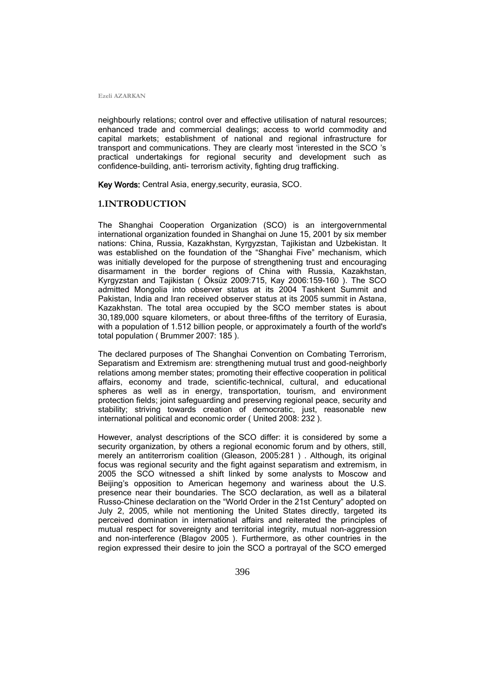neighbourly relations; control over and effective utilisation of natural resources; enhanced trade and commercial dealings; access to world commodity and capital markets; establishment of national and regional infrastructure for transport and communications. They are clearly most ‗interested in the SCO 's practical undertakings for regional security and development such as confidence-building, anti- terrorism activity, fighting drug trafficking.

Key Words: Central Asia, energy,security, eurasia, SCO.

### **1.INTRODUCTION**

The Shanghai Cooperation Organization (SCO) is an intergovernmental international organization founded in Shanghai on June 15, 2001 by six member nations: China, Russia, Kazakhstan, Kyrgyzstan, Tajikistan and Uzbekistan. It was established on the foundation of the "Shanghai Five" mechanism, which was initially developed for the purpose of strengthening trust and encouraging disarmament in the border regions of China with Russia, Kazakhstan, Kyrgyzstan and Tajikistan ( Öksüz 2009:715, Kay 2006:159-160 ). The SCO admitted Mongolia into observer status at its 2004 Tashkent Summit and Pakistan, India and Iran received observer status at its 2005 summit in Astana, Kazakhstan. The total area occupied by the SCO member states is about 30,189,000 square kilometers, or about three-fifths of the territory of Eurasia, with a population of 1.512 billion people, or approximately a fourth of the world's total population ( Brummer 2007: 185 ).

The declared purposes of The Shanghai Convention on Combating Terrorism, Separatism and Extremism are: strengthening mutual trust and good-neighborly relations among member states; promoting their effective cooperation in political affairs, economy and trade, scientific-technical, cultural, and educational spheres as well as in energy, transportation, tourism, and environment protection fields; joint safeguarding and preserving regional peace, security and stability; striving towards creation of democratic, just, reasonable new international political and economic order ( United 2008: 232 ).

However, analyst descriptions of the SCO differ: it is considered by some a security organization, by others a regional economic forum and by others, still, merely an antiterrorism coalition (Gleason, 2005:281 ) . Although, its original focus was regional security and the fight against separatism and extremism, in 2005 the SCO witnessed a shift linked by some analysts to Moscow and Beijing's opposition to American hegemony and wariness about the U.S. presence near their boundaries. The SCO declaration, as well as a bilateral Russo-Chinese declaration on the "World Order in the 21st Century" adopted on July 2, 2005, while not mentioning the United States directly, targeted its perceived domination in international affairs and reiterated the principles of mutual respect for sovereignty and territorial integrity, mutual non-aggression and non-interference (Blagov 2005 ). Furthermore, as other countries in the region expressed their desire to join the SCO a portrayal of the SCO emerged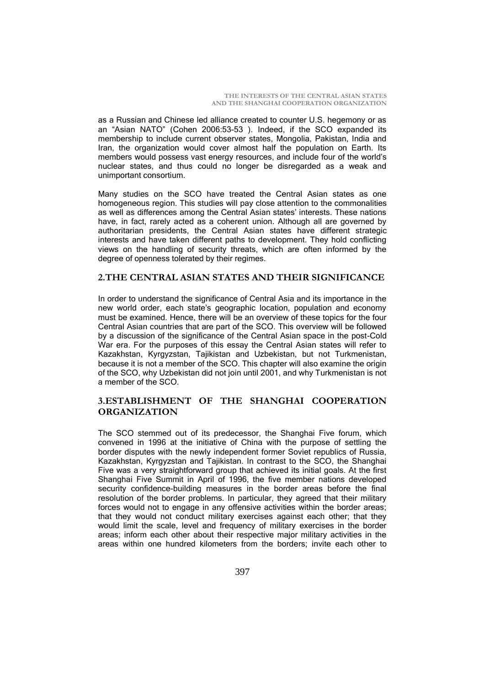as a Russian and Chinese led alliance created to counter U.S. hegemony or as an "Asian NATO" (Cohen 2006:53-53 ). Indeed, if the SCO expanded its membership to include current observer states, Mongolia, Pakistan, India and Iran, the organization would cover almost half the population on Earth. Its members would possess vast energy resources, and include four of the world's nuclear states, and thus could no longer be disregarded as a weak and unimportant consortium.

Many studies on the SCO have treated the Central Asian states as one homogeneous region. This studies will pay close attention to the commonalities as well as differences among the Central Asian states' interests. These nations have, in fact, rarely acted as a coherent union. Although all are governed by authoritarian presidents, the Central Asian states have different strategic interests and have taken different paths to development. They hold conflicting views on the handling of security threats, which are often informed by the degree of openness tolerated by their regimes.

## **2.THE CENTRAL ASIAN STATES AND THEIR SIGNIFICANCE**

In order to understand the significance of Central Asia and its importance in the new world order, each state's geographic location, population and economy must be examined. Hence, there will be an overview of these topics for the four Central Asian countries that are part of the SCO. This overview will be followed by a discussion of the significance of the Central Asian space in the post-Cold War era. For the purposes of this essay the Central Asian states will refer to Kazakhstan, Kyrgyzstan, Tajikistan and Uzbekistan, but not Turkmenistan, because it is not a member of the SCO. This chapter will also examine the origin of the SCO, why Uzbekistan did not join until 2001, and why Turkmenistan is not a member of the SCO.

## **3.ESTABLISHMENT OF THE SHANGHAI COOPERATION ORGANIZATION**

The SCO stemmed out of its predecessor, the Shanghai Five forum, which convened in 1996 at the initiative of China with the purpose of settling the border disputes with the newly independent former Soviet republics of Russia, Kazakhstan, Kyrgyzstan and Tajikistan. In contrast to the SCO, the Shanghai Five was a very straightforward group that achieved its initial goals. At the first Shanghai Five Summit in April of 1996, the five member nations developed security confidence-building measures in the border areas before the final resolution of the border problems. In particular, they agreed that their military forces would not to engage in any offensive activities within the border areas; that they would not conduct military exercises against each other; that they would limit the scale, level and frequency of military exercises in the border areas; inform each other about their respective major military activities in the areas within one hundred kilometers from the borders; invite each other to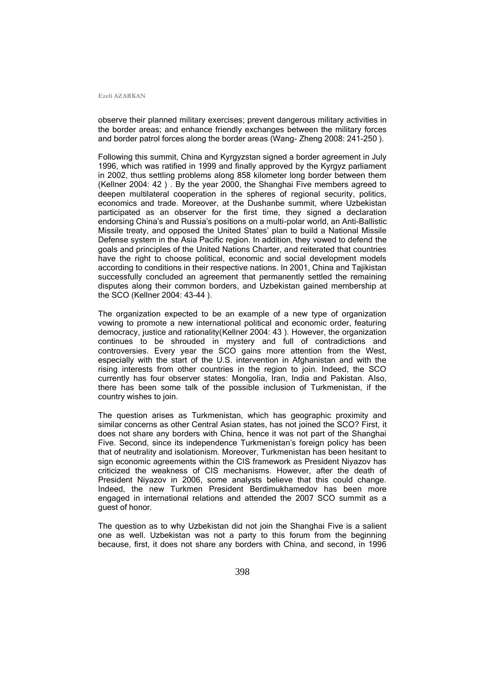observe their planned military exercises; prevent dangerous military activities in the border areas; and enhance friendly exchanges between the military forces and border patrol forces along the border areas (Wang- Zheng 2008: 241-250 ).

Following this summit, China and Kyrgyzstan signed a border agreement in July 1996, which was ratified in 1999 and finally approved by the Kyrgyz parliament in 2002, thus settling problems along 858 kilometer long border between them (Kellner 2004: 42 ) . By the year 2000, the Shanghai Five members agreed to deepen multilateral cooperation in the spheres of regional security, politics, economics and trade. Moreover, at the Dushanbe summit, where Uzbekistan participated as an observer for the first time, they signed a declaration endorsing China's and Russia's positions on a multi-polar world, an Anti-Ballistic Missile treaty, and opposed the United States' plan to build a National Missile Defense system in the Asia Pacific region. In addition, they vowed to defend the goals and principles of the United Nations Charter, and reiterated that countries have the right to choose political, economic and social development models according to conditions in their respective nations. In 2001, China and Tajikistan successfully concluded an agreement that permanently settled the remaining disputes along their common borders, and Uzbekistan gained membership at the SCO (Kellner 2004: 43-44 ).

The organization expected to be an example of a new type of organization vowing to promote a new international political and economic order, featuring democracy, justice and rationality(Kellner 2004: 43 ). However, the organization continues to be shrouded in mystery and full of contradictions and controversies. Every year the SCO gains more attention from the West, especially with the start of the U.S. intervention in Afghanistan and with the rising interests from other countries in the region to join. Indeed, the SCO currently has four observer states: Mongolia, Iran, India and Pakistan. Also, there has been some talk of the possible inclusion of Turkmenistan, if the country wishes to join.

The question arises as Turkmenistan, which has geographic proximity and similar concerns as other Central Asian states, has not joined the SCO? First, it does not share any borders with China, hence it was not part of the Shanghai Five. Second, since its independence Turkmenistan's foreign policy has been that of neutrality and isolationism. Moreover, Turkmenistan has been hesitant to sign economic agreements within the CIS framework as President Niyazov has criticized the weakness of CIS mechanisms. However, after the death of President Niyazov in 2006, some analysts believe that this could change. Indeed, the new Turkmen President Berdimukhamedov has been more engaged in international relations and attended the 2007 SCO summit as a guest of honor.

The question as to why Uzbekistan did not join the Shanghai Five is a salient one as well. Uzbekistan was not a party to this forum from the beginning because, first, it does not share any borders with China, and second, in 1996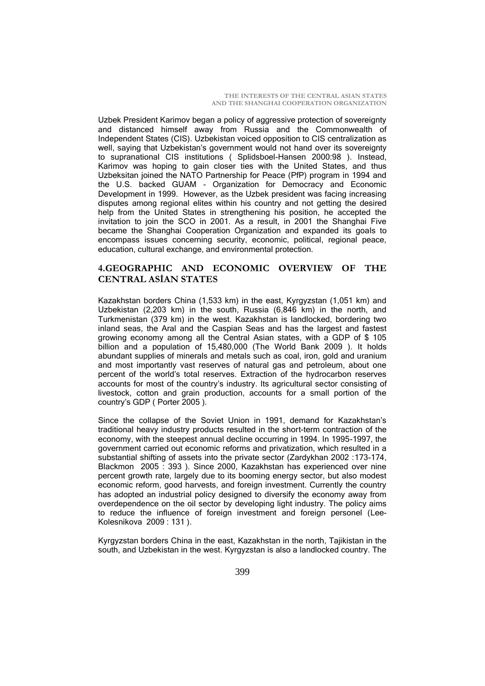Uzbek President Karimov began a policy of aggressive protection of sovereignty and distanced himself away from Russia and the Commonwealth of Independent States (CIS). Uzbekistan voiced opposition to CIS centralization as well, saying that Uzbekistan's government would not hand over its sovereignty to supranational CIS institutions ( Splidsboel-Hansen 2000:98 ). Instead, Karimov was hoping to gain closer ties with the United States, and thus Uzbeksitan joined the NATO Partnership for Peace (PfP) program in 1994 and the U.S. backed GUAM – Organization for Democracy and Economic Development in 1999. However, as the Uzbek president was facing increasing disputes among regional elites within his country and not getting the desired help from the United States in strengthening his position, he accepted the invitation to join the SCO in 2001. As a result, in 2001 the Shanghai Five became the Shanghai Cooperation Organization and expanded its goals to encompass issues concerning security, economic, political, regional peace, education, cultural exchange, and environmental protection.

## **4.GEOGRAPHIC AND ECONOMIC OVERVIEW OF THE CENTRAL ASİAN STATES**

Kazakhstan borders China (1,533 km) in the east, Kyrgyzstan (1,051 km) and Uzbekistan (2,203 km) in the south, Russia (6,846 km) in the north, and Turkmenistan (379 km) in the west. Kazakhstan is landlocked, bordering two inland seas, the Aral and the Caspian Seas and has the largest and fastest growing economy among all the Central Asian states, with a GDP of \$ 105 billion and a population of 15,480,000 (The World Bank 2009 ). It holds abundant supplies of minerals and metals such as coal, iron, gold and uranium and most importantly vast reserves of natural gas and petroleum, about one percent of the world's total reserves. Extraction of the hydrocarbon reserves accounts for most of the country's industry. Its agricultural sector consisting of livestock, cotton and grain production, accounts for a small portion of the country's GDP ( Porter 2005 ).

Since the collapse of the Soviet Union in 1991, demand for Kazakhstan's traditional heavy industry products resulted in the short-term contraction of the economy, with the steepest annual decline occurring in 1994. In 1995-1997, the government carried out economic reforms and privatization, which resulted in a substantial shifting of assets into the private sector (Zardykhan 2002 :173-174, Blackmon 2005 : 393 ). Since 2000, Kazakhstan has experienced over nine percent growth rate, largely due to its booming energy sector, but also modest economic reform, good harvests, and foreign investment. Currently the country has adopted an industrial policy designed to diversify the economy away from overdependence on the oil sector by developing light industry. The policy aims to reduce the influence of foreign investment and foreign personel (Lee-Kolesnikova 2009 : 131 ).

Kyrgyzstan borders China in the east, Kazakhstan in the north, Tajikistan in the south, and Uzbekistan in the west. Kyrgyzstan is also a landlocked country. The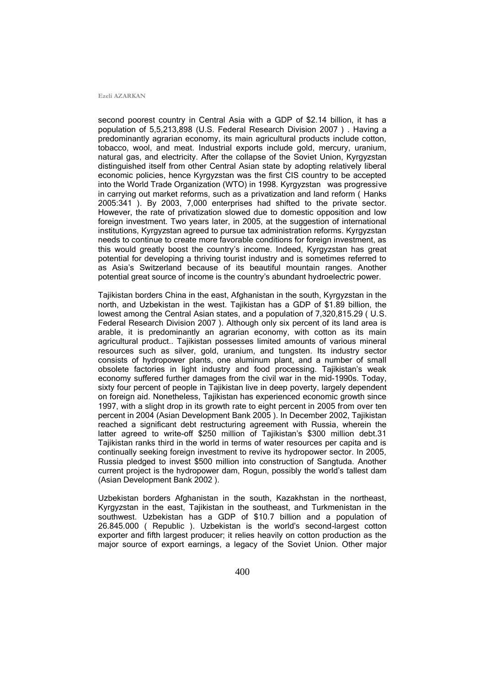second poorest country in Central Asia with a GDP of \$2.14 billion, it has a population of 5,5,213,898 (U.S. Federal Research Division 2007 ) . Having a predominantly agrarian economy, its main agricultural products include cotton, tobacco, wool, and meat. Industrial exports include gold, mercury, uranium, natural gas, and electricity. After the collapse of the Soviet Union, Kyrgyzstan distinguished itself from other Central Asian state by adopting relatively liberal economic policies, hence Kyrgyzstan was the first CIS country to be accepted into the World Trade Organization (WTO) in 1998. Kyrgyzstan was progressive in carrying out market reforms, such as a privatization and land reform ( Hanks 2005:341 ). By 2003, 7,000 enterprises had shifted to the private sector. However, the rate of privatization slowed due to domestic opposition and low foreign investment. Two years later, in 2005, at the suggestion of international institutions, Kyrgyzstan agreed to pursue tax administration reforms. Kyrgyzstan needs to continue to create more favorable conditions for foreign investment, as this would greatly boost the country's income. Indeed, Kyrgyzstan has great potential for developing a thriving tourist industry and is sometimes referred to as Asia's Switzerland because of its beautiful mountain ranges. Another potential great source of income is the country's abundant hydroelectric power.

Tajikistan borders China in the east, Afghanistan in the south, Kyrgyzstan in the north, and Uzbekistan in the west. Tajikistan has a GDP of \$1.89 billion, the lowest among the Central Asian states, and a population of 7,320,815.29 ( U.S. Federal Research Division 2007 ). Although only six percent of its land area is arable, it is predominantly an agrarian economy, with cotton as its main agricultural product.. Tajikistan possesses limited amounts of various mineral resources such as silver, gold, uranium, and tungsten. Its industry sector consists of hydropower plants, one aluminum plant, and a number of small obsolete factories in light industry and food processing. Tajikistan's weak economy suffered further damages from the civil war in the mid-1990s. Today, sixty four percent of people in Tajikistan live in deep poverty, largely dependent on foreign aid. Nonetheless, Tajikistan has experienced economic growth since 1997, with a slight drop in its growth rate to eight percent in 2005 from over ten percent in 2004 (Asian Development Bank 2005 ). In December 2002, Tajikistan reached a significant debt restructuring agreement with Russia, wherein the latter agreed to write-off \$250 million of Tajikistan's \$300 million debt.31 Tajikistan ranks third in the world in terms of water resources per capita and is continually seeking foreign investment to revive its hydropower sector. In 2005, Russia pledged to invest \$500 million into construction of Sangtuda. Another current project is the hydropower dam, Rogun, possibly the world's tallest dam (Asian Development Bank 2002 ).

Uzbekistan borders Afghanistan in the south, Kazakhstan in the northeast, Kyrgyzstan in the east, Tajikistan in the southeast, and Turkmenistan in the southwest. Uzbekistan has a GDP of \$10.7 billion and a population of 26.845.000 ( Republic ). Uzbekistan is the world's second-largest cotton exporter and fifth largest producer; it relies heavily on cotton production as the major source of export earnings, a legacy of the Soviet Union. Other major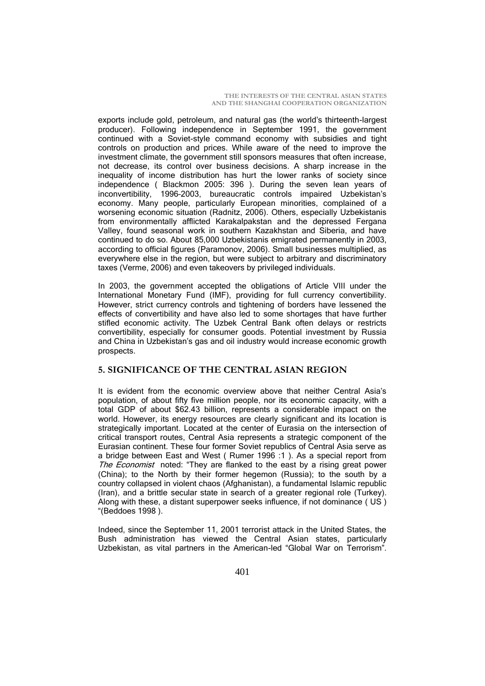exports include gold, petroleum, and natural gas (the world's thirteenth-largest producer). Following independence in September 1991, the government continued with a Soviet-style command economy with subsidies and tight controls on production and prices. While aware of the need to improve the investment climate, the government still sponsors measures that often increase, not decrease, its control over business decisions. A sharp increase in the inequality of income distribution has hurt the lower ranks of society since independence ( Blackmon 2005: 396 ). During the seven lean years of inconvertibility, 1996–2003, bureaucratic controls impaired Uzbekistan's economy. Many people, particularly European minorities, complained of a worsening economic situation (Radnitz, 2006). Others, especially Uzbekistanis from environmentally afflicted Karakalpakstan and the depressed Fergana Valley, found seasonal work in southern Kazakhstan and Siberia, and have continued to do so. About 85,000 Uzbekistanis emigrated permanently in 2003, according to official figures (Paramonov, 2006). Small businesses multiplied, as everywhere else in the region, but were subject to arbitrary and discriminatory taxes (Verme, 2006) and even takeovers by privileged individuals.

In 2003, the government accepted the obligations of Article VIII under the International Monetary Fund (IMF), providing for full currency convertibility. However, strict currency controls and tightening of borders have lessened the effects of convertibility and have also led to some shortages that have further stifled economic activity. The Uzbek Central Bank often delays or restricts convertibility, especially for consumer goods. Potential investment by Russia and China in Uzbekistan's gas and oil industry would increase economic growth prospects.

## **5. SIGNIFICANCE OF THE CENTRAL ASIAN REGION**

It is evident from the economic overview above that neither Central Asia's population, of about fifty five million people, nor its economic capacity, with a total GDP of about \$62.43 billion, represents a considerable impact on the world. However, its energy resources are clearly significant and its location is strategically important. Located at the center of Eurasia on the intersection of critical transport routes, Central Asia represents a strategic component of the Eurasian continent. These four former Soviet republics of Central Asia serve as a bridge between East and West ( Rumer 1996 :1 ). As a special report from The Economist noted: "They are flanked to the east by a rising great power (China); to the North by their former hegemon (Russia); to the south by a country collapsed in violent chaos (Afghanistan), a fundamental Islamic republic (Iran), and a brittle secular state in search of a greater regional role (Turkey). Along with these, a distant superpower seeks influence, if not dominance ( US ) ―(Beddoes 1998 ).

Indeed, since the September 11, 2001 terrorist attack in the United States, the Bush administration has viewed the Central Asian states, particularly Uzbekistan, as vital partners in the American-led "Global War on Terrorism".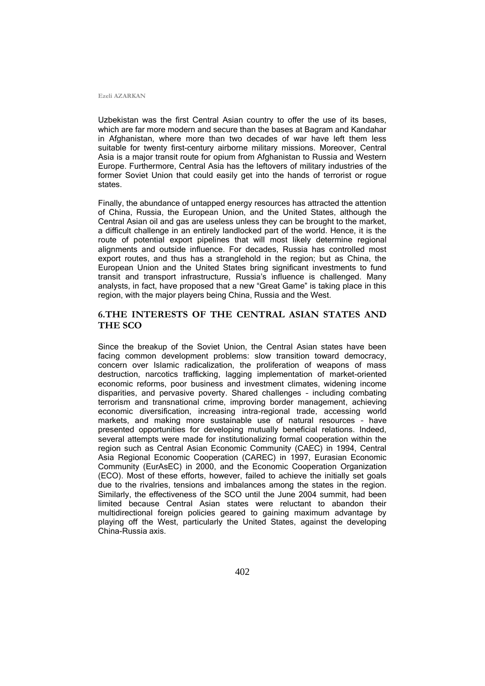Uzbekistan was the first Central Asian country to offer the use of its bases, which are far more modern and secure than the bases at Bagram and Kandahar in Afghanistan, where more than two decades of war have left them less suitable for twenty first-century airborne military missions. Moreover, Central Asia is a major transit route for opium from Afghanistan to Russia and Western Europe. Furthermore, Central Asia has the leftovers of military industries of the former Soviet Union that could easily get into the hands of terrorist or rogue states.

Finally, the abundance of untapped energy resources has attracted the attention of China, Russia, the European Union, and the United States, although the Central Asian oil and gas are useless unless they can be brought to the market, a difficult challenge in an entirely landlocked part of the world. Hence, it is the route of potential export pipelines that will most likely determine regional alignments and outside influence. For decades, Russia has controlled most export routes, and thus has a stranglehold in the region; but as China, the European Union and the United States bring significant investments to fund transit and transport infrastructure, Russia's influence is challenged. Many analysts, in fact, have proposed that a new "Great Game" is taking place in this region, with the major players being China, Russia and the West.

## **6.THE INTERESTS OF THE CENTRAL ASIAN STATES AND THE SCO**

Since the breakup of the Soviet Union, the Central Asian states have been facing common development problems: slow transition toward democracy, concern over Islamic radicalization, the proliferation of weapons of mass destruction, narcotics trafficking, lagging implementation of market-oriented economic reforms, poor business and investment climates, widening income disparities, and pervasive poverty. Shared challenges – including combating terrorism and transnational crime, improving border management, achieving economic diversification, increasing intra-regional trade, accessing world markets, and making more sustainable use of natural resources – have presented opportunities for developing mutually beneficial relations. Indeed, several attempts were made for institutionalizing formal cooperation within the region such as Central Asian Economic Community (CAEC) in 1994, Central Asia Regional Economic Cooperation (CAREC) in 1997, Eurasian Economic Community (EurAsEC) in 2000, and the Economic Cooperation Organization (ECO). Most of these efforts, however, failed to achieve the initially set goals due to the rivalries, tensions and imbalances among the states in the region. Similarly, the effectiveness of the SCO until the June 2004 summit, had been limited because Central Asian states were reluctant to abandon their multidirectional foreign policies geared to gaining maximum advantage by playing off the West, particularly the United States, against the developing China-Russia axis.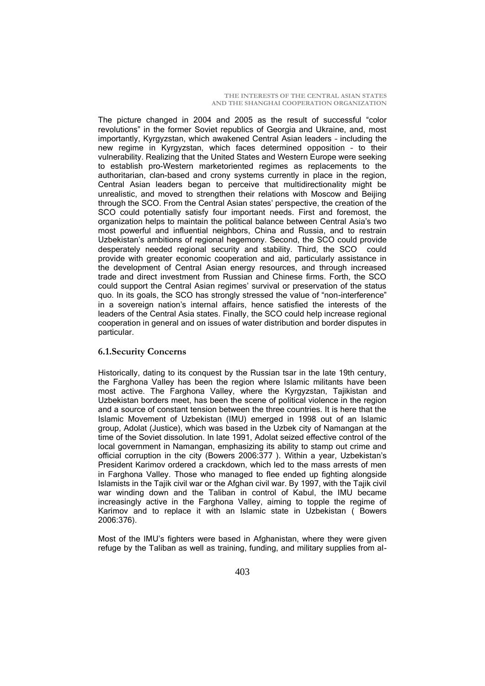The picture changed in 2004 and 2005 as the result of successful "color revolutions" in the former Soviet republics of Georgia and Ukraine, and, most importantly, Kyrgyzstan, which awakened Central Asian leaders – including the new regime in Kyrgyzstan, which faces determined opposition – to their vulnerability. Realizing that the United States and Western Europe were seeking to establish pro-Western marketoriented regimes as replacements to the authoritarian, clan-based and crony systems currently in place in the region, Central Asian leaders began to perceive that multidirectionality might be unrealistic, and moved to strengthen their relations with Moscow and Beijing through the SCO. From the Central Asian states' perspective, the creation of the SCO could potentially satisfy four important needs. First and foremost, the organization helps to maintain the political balance between Central Asia's two most powerful and influential neighbors, China and Russia, and to restrain Uzbekistan's ambitions of regional hegemony. Second, the SCO could provide desperately needed regional security and stability. Third, the SCO could provide with greater economic cooperation and aid, particularly assistance in the development of Central Asian energy resources, and through increased trade and direct investment from Russian and Chinese firms. Forth, the SCO could support the Central Asian regimes' survival or preservation of the status quo. In its goals, the SCO has strongly stressed the value of "non-interference" in a sovereign nation's internal affairs, hence satisfied the interests of the leaders of the Central Asia states. Finally, the SCO could help increase regional cooperation in general and on issues of water distribution and border disputes in particular.

## **6.1.Security Concerns**

Historically, dating to its conquest by the Russian tsar in the late 19th century, the Farghona Valley has been the region where Islamic militants have been most active. The Farghona Valley, where the Kyrgyzstan, Tajikistan and Uzbekistan borders meet, has been the scene of political violence in the region and a source of constant tension between the three countries. It is here that the Islamic Movement of Uzbekistan (IMU) emerged in 1998 out of an Islamic group, Adolat (Justice), which was based in the Uzbek city of Namangan at the time of the Soviet dissolution. In late 1991, Adolat seized effective control of the local government in Namangan, emphasizing its ability to stamp out crime and official corruption in the city (Bowers 2006:377 ). Within a year, Uzbekistan's President Karimov ordered a crackdown, which led to the mass arrests of men in Farghona Valley. Those who managed to flee ended up fighting alongside Islamists in the Tajik civil war or the Afghan civil war. By 1997, with the Tajik civil war winding down and the Taliban in control of Kabul, the IMU became increasingly active in the Farghona Valley, aiming to topple the regime of Karimov and to replace it with an Islamic state in Uzbekistan ( Bowers 2006:376).

Most of the IMU's fighters were based in Afghanistan, where they were given refuge by the Taliban as well as training, funding, and military supplies from al-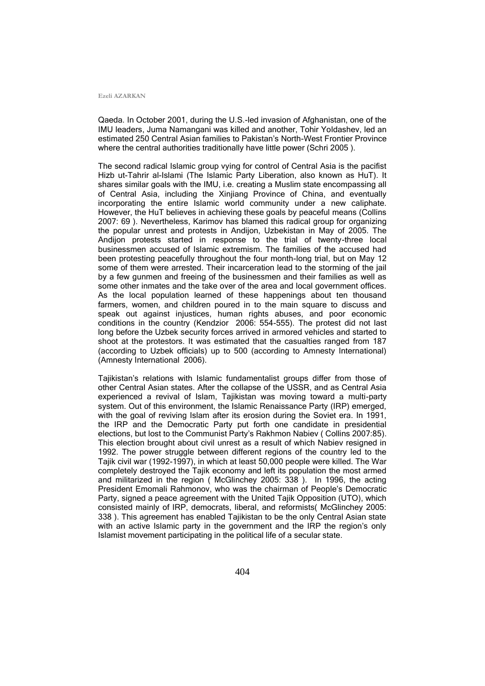Qaeda. In October 2001, during the U.S.-led invasion of Afghanistan, one of the IMU leaders, Juma Namangani was killed and another, Tohir Yoldashev, led an estimated 250 Central Asian families to Pakistan's North-West Frontier Province where the central authorities traditionally have little power (Schri 2005).

The second radical Islamic group vying for control of Central Asia is the pacifist Hizb ut-Tahrir al-Islami (The Islamic Party Liberation, also known as HuT). It shares similar goals with the IMU, i.e. creating a Muslim state encompassing all of Central Asia, including the Xinjiang Province of China, and eventually incorporating the entire Islamic world community under a new caliphate. However, the HuT believes in achieving these goals by peaceful means (Collins 2007: 69 ). Nevertheless, Karimov has blamed this radical group for organizing the popular unrest and protests in Andijon, Uzbekistan in May of 2005. The Andijon protests started in response to the trial of twenty-three local businessmen accused of Islamic extremism. The families of the accused had been protesting peacefully throughout the four month-long trial, but on May 12 some of them were arrested. Their incarceration lead to the storming of the jail by a few gunmen and freeing of the businessmen and their families as well as some other inmates and the take over of the area and local government offices. As the local population learned of these happenings about ten thousand farmers, women, and children poured in to the main square to discuss and speak out against injustices, human rights abuses, and poor economic conditions in the country (Kendzior 2006: 554-555). The protest did not last long before the Uzbek security forces arrived in armored vehicles and started to shoot at the protestors. It was estimated that the casualties ranged from 187 (according to Uzbek officials) up to 500 (according to Amnesty International) (Amnesty International 2006).

Tajikistan's relations with Islamic fundamentalist groups differ from those of other Central Asian states. After the collapse of the USSR, and as Central Asia experienced a revival of Islam, Tajikistan was moving toward a multi-party system. Out of this environment, the Islamic Renaissance Party (IRP) emerged, with the goal of reviving Islam after its erosion during the Soviet era. In 1991, the IRP and the Democratic Party put forth one candidate in presidential elections, but lost to the Communist Party's Rakhmon Nabiev ( Collins 2007:85). This election brought about civil unrest as a result of which Nabiev resigned in 1992. The power struggle between different regions of the country led to the Tajik civil war (1992-1997), in which at least 50,000 people were killed. The War completely destroyed the Tajik economy and left its population the most armed and militarized in the region ( McGlinchey 2005: 338 ). In 1996, the acting President Emomali Rahmonov, who was the chairman of People's Democratic Party, signed a peace agreement with the United Tajik Opposition (UTO), which consisted mainly of IRP, democrats, liberal, and reformists( McGlinchey 2005: 338 ). This agreement has enabled Tajikistan to be the only Central Asian state with an active Islamic party in the government and the IRP the region's only Islamist movement participating in the political life of a secular state.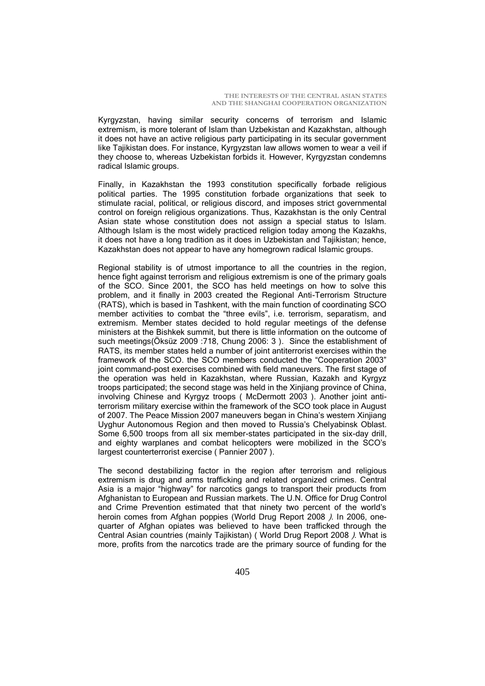Kyrgyzstan, having similar security concerns of terrorism and Islamic extremism, is more tolerant of Islam than Uzbekistan and Kazakhstan, although it does not have an active religious party participating in its secular government like Tajikistan does. For instance, Kyrgyzstan law allows women to wear a veil if they choose to, whereas Uzbekistan forbids it. However, Kyrgyzstan condemns radical Islamic groups.

Finally, in Kazakhstan the 1993 constitution specifically forbade religious political parties. The 1995 constitution forbade organizations that seek to stimulate racial, political, or religious discord, and imposes strict governmental control on foreign religious organizations. Thus, Kazakhstan is the only Central Asian state whose constitution does not assign a special status to Islam. Although Islam is the most widely practiced religion today among the Kazakhs, it does not have a long tradition as it does in Uzbekistan and Tajikistan; hence, Kazakhstan does not appear to have any homegrown radical Islamic groups.

Regional stability is of utmost importance to all the countries in the region, hence fight against terrorism and religious extremism is one of the primary goals of the SCO. Since 2001, the SCO has held meetings on how to solve this problem, and it finally in 2003 created the Regional Anti-Terrorism Structure (RATS), which is based in Tashkent, with the main function of coordinating SCO member activities to combat the "three evils", i.e. terrorism, separatism, and extremism. Member states decided to hold regular meetings of the defense ministers at the Bishkek summit, but there is little information on the outcome of such meetings(Öksüz 2009 :718, Chung 2006: 3 ). Since the establishment of RATS, its member states held a number of joint antiterrorist exercises within the framework of the SCO. the SCO members conducted the "Cooperation 2003" joint command-post exercises combined with field maneuvers. The first stage of the operation was held in Kazakhstan, where Russian, Kazakh and Kyrgyz troops participated; the second stage was held in the Xinjiang province of China, involving Chinese and Kyrgyz troops ( McDermott 2003 ). Another joint antiterrorism military exercise within the framework of the SCO took place in August of 2007. The Peace Mission 2007 maneuvers began in China's western Xinjiang Uyghur Autonomous Region and then moved to Russia's Chelyabinsk Oblast. Some 6,500 troops from all six member-states participated in the six-day drill, and eighty warplanes and combat helicopters were mobilized in the SCO's largest counterterrorist exercise ( Pannier 2007 ).

The second destabilizing factor in the region after terrorism and religious extremism is drug and arms trafficking and related organized crimes. Central Asia is a major "highway" for narcotics gangs to transport their products from Afghanistan to European and Russian markets. The U.N. Office for Drug Control and Crime Prevention estimated that that ninety two percent of the world's heroin comes from Afghan poppies (World Drug Report 2008 ). In 2006, onequarter of Afghan opiates was believed to have been trafficked through the Central Asian countries (mainly Tajikistan) ( World Drug Report 2008 ). What is more, profits from the narcotics trade are the primary source of funding for the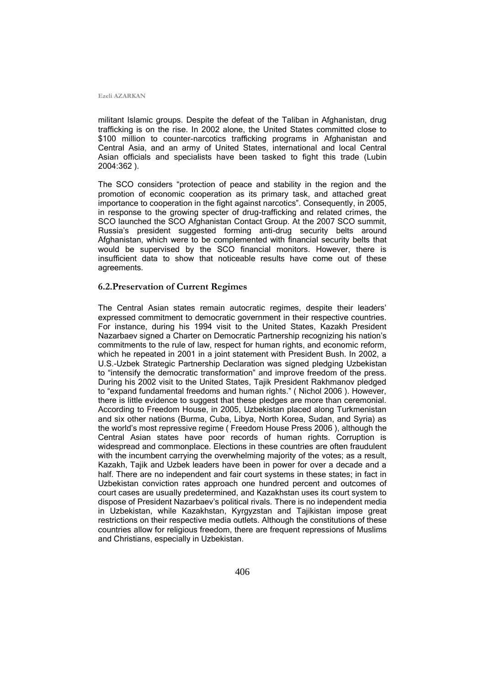militant Islamic groups. Despite the defeat of the Taliban in Afghanistan, drug trafficking is on the rise. In 2002 alone, the United States committed close to \$100 million to counter-narcotics trafficking programs in Afghanistan and Central Asia, and an army of United States, international and local Central Asian officials and specialists have been tasked to fight this trade (Lubin 2004:362 ).

The SCO considers "protection of peace and stability in the region and the promotion of economic cooperation as its primary task, and attached great importance to cooperation in the fight against narcotics". Consequently, in 2005, in response to the growing specter of drug-trafficking and related crimes, the SCO launched the SCO Afghanistan Contact Group. At the 2007 SCO summit, Russia's president suggested forming anti-drug security belts around Afghanistan, which were to be complemented with financial security belts that would be supervised by the SCO financial monitors. However, there is insufficient data to show that noticeable results have come out of these agreements.

### **6.2.Preservation of Current Regimes**

The Central Asian states remain autocratic regimes, despite their leaders' expressed commitment to democratic government in their respective countries. For instance, during his 1994 visit to the United States, Kazakh President Nazarbaev signed a Charter on Democratic Partnership recognizing his nation's commitments to the rule of law, respect for human rights, and economic reform, which he repeated in 2001 in a joint statement with President Bush. In 2002, a U.S.-Uzbek Strategic Partnership Declaration was signed pledging Uzbekistan to "intensify the democratic transformation" and improve freedom of the press. During his 2002 visit to the United States, Tajik President Rakhmanov pledged to "expand fundamental freedoms and human rights." (Nichol 2006). However, there is little evidence to suggest that these pledges are more than ceremonial. According to Freedom House, in 2005, Uzbekistan placed along Turkmenistan and six other nations (Burma, Cuba, Libya, North Korea, Sudan, and Syria) as the world's most repressive regime ( Freedom House Press 2006 ), although the Central Asian states have poor records of human rights. Corruption is widespread and commonplace. Elections in these countries are often fraudulent with the incumbent carrying the overwhelming majority of the votes; as a result, Kazakh, Tajik and Uzbek leaders have been in power for over a decade and a half. There are no independent and fair court systems in these states; in fact in Uzbekistan conviction rates approach one hundred percent and outcomes of court cases are usually predetermined, and Kazakhstan uses its court system to dispose of President Nazarbaev's political rivals. There is no independent media in Uzbekistan, while Kazakhstan, Kyrgyzstan and Tajikistan impose great restrictions on their respective media outlets. Although the constitutions of these countries allow for religious freedom, there are frequent repressions of Muslims and Christians, especially in Uzbekistan.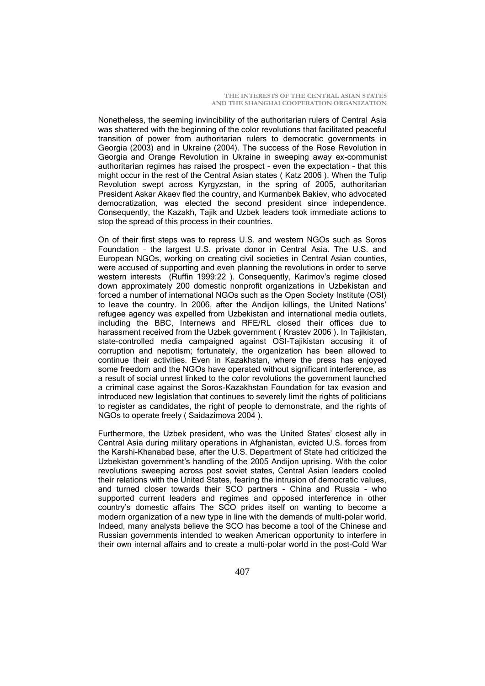Nonetheless, the seeming invincibility of the authoritarian rulers of Central Asia was shattered with the beginning of the color revolutions that facilitated peaceful transition of power from authoritarian rulers to democratic governments in Georgia (2003) and in Ukraine (2004). The success of the Rose Revolution in Georgia and Orange Revolution in Ukraine in sweeping away ex-communist authoritarian regimes has raised the prospect – even the expectation – that this might occur in the rest of the Central Asian states ( Katz 2006 ). When the Tulip Revolution swept across Kyrgyzstan, in the spring of 2005, authoritarian President Askar Akaev fled the country, and Kurmanbek Bakiev, who advocated democratization, was elected the second president since independence. Consequently, the Kazakh, Tajik and Uzbek leaders took immediate actions to stop the spread of this process in their countries.

On of their first steps was to repress U.S. and western NGOs such as Soros Foundation – the largest U.S. private donor in Central Asia. The U.S. and European NGOs, working on creating civil societies in Central Asian counties, were accused of supporting and even planning the revolutions in order to serve western interests (Ruffin 1999:22 ). Consequently, Karimov's regime closed down approximately 200 domestic nonprofit organizations in Uzbekistan and forced a number of international NGOs such as the Open Society Institute (OSI) to leave the country. In 2006, after the Andijon killings, the United Nations' refugee agency was expelled from Uzbekistan and international media outlets, including the BBC, Internews and RFE/RL closed their offices due to harassment received from the Uzbek government ( Krastev 2006 ). In Tajikistan, state-controlled media campaigned against OSI-Tajikistan accusing it of corruption and nepotism; fortunately, the organization has been allowed to continue their activities. Even in Kazakhstan, where the press has enjoyed some freedom and the NGOs have operated without significant interference, as a result of social unrest linked to the color revolutions the government launched a criminal case against the Soros-Kazakhstan Foundation for tax evasion and introduced new legislation that continues to severely limit the rights of politicians to register as candidates, the right of people to demonstrate, and the rights of NGOs to operate freely ( Saidazimova 2004 ).

Furthermore, the Uzbek president, who was the United States' closest ally in Central Asia during military operations in Afghanistan, evicted U.S. forces from the Karshi-Khanabad base, after the U.S. Department of State had criticized the Uzbekistan government's handling of the 2005 Andijon uprising. With the color revolutions sweeping across post soviet states, Central Asian leaders cooled their relations with the United States, fearing the intrusion of democratic values, and turned closer towards their SCO partners – China and Russia – who supported current leaders and regimes and opposed interference in other country's domestic affairs The SCO prides itself on wanting to become a modern organization of a new type in line with the demands of multi-polar world. Indeed, many analysts believe the SCO has become a tool of the Chinese and Russian governments intended to weaken American opportunity to interfere in their own internal affairs and to create a multi-polar world in the post-Cold War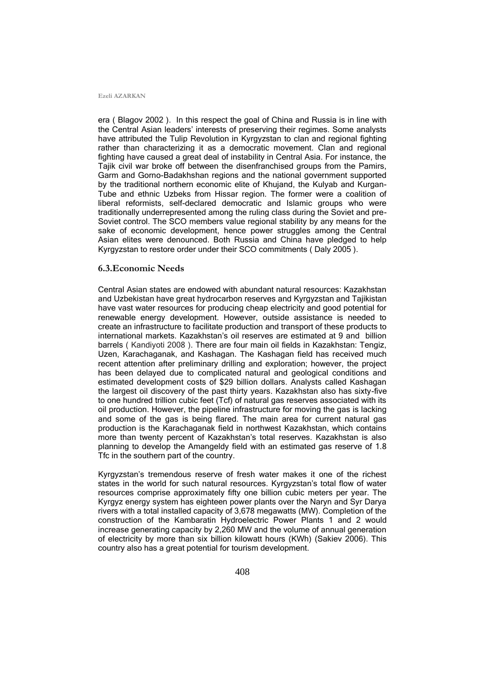era ( Blagov 2002 ). In this respect the goal of China and Russia is in line with the Central Asian leaders' interests of preserving their regimes. Some analysts have attributed the Tulip Revolution in Kyrgyzstan to clan and regional fighting rather than characterizing it as a democratic movement. Clan and regional fighting have caused a great deal of instability in Central Asia. For instance, the Tajik civil war broke off between the disenfranchised groups from the Pamirs, Garm and Gorno-Badakhshan regions and the national government supported by the traditional northern economic elite of Khujand, the Kulyab and Kurgan-Tube and ethnic Uzbeks from Hissar region. The former were a coalition of liberal reformists, self-declared democratic and Islamic groups who were traditionally underrepresented among the ruling class during the Soviet and pre-Soviet control. The SCO members value regional stability by any means for the sake of economic development, hence power struggles among the Central Asian elites were denounced. Both Russia and China have pledged to help Kyrgyzstan to restore order under their SCO commitments ( Daly 2005 ).

### **6.3.Economic Needs**

Central Asian states are endowed with abundant natural resources: Kazakhstan and Uzbekistan have great hydrocarbon reserves and Kyrgyzstan and Tajikistan have vast water resources for producing cheap electricity and good potential for renewable energy development. However, outside assistance is needed to create an infrastructure to facilitate production and transport of these products to international markets. Kazakhstan's oil reserves are estimated at 9 and billion barrels ( Kandiyoti 2008 ). There are four main oil fields in Kazakhstan: Tengiz, Uzen, Karachaganak, and Kashagan. The Kashagan field has received much recent attention after preliminary drilling and exploration; however, the project has been delayed due to complicated natural and geological conditions and estimated development costs of \$29 billion dollars. Analysts called Kashagan the largest oil discovery of the past thirty years. Kazakhstan also has sixty-five to one hundred trillion cubic feet (Tcf) of natural gas reserves associated with its oil production. However, the pipeline infrastructure for moving the gas is lacking and some of the gas is being flared. The main area for current natural gas production is the Karachaganak field in northwest Kazakhstan, which contains more than twenty percent of Kazakhstan's total reserves. Kazakhstan is also planning to develop the Amangeldy field with an estimated gas reserve of 1.8 Tfc in the southern part of the country.

Kyrgyzstan's tremendous reserve of fresh water makes it one of the richest states in the world for such natural resources. Kyrgyzstan's total flow of water resources comprise approximately fifty one billion cubic meters per year. The Kyrgyz energy system has eighteen power plants over the Naryn and Syr Darya rivers with a total installed capacity of 3,678 megawatts (MW). Completion of the construction of the Kambaratin Hydroelectric Power Plants 1 and 2 would increase generating capacity by 2,260 MW and the volume of annual generation of electricity by more than six billion kilowatt hours (KWh) (Sakiev 2006). This country also has a great potential for tourism development.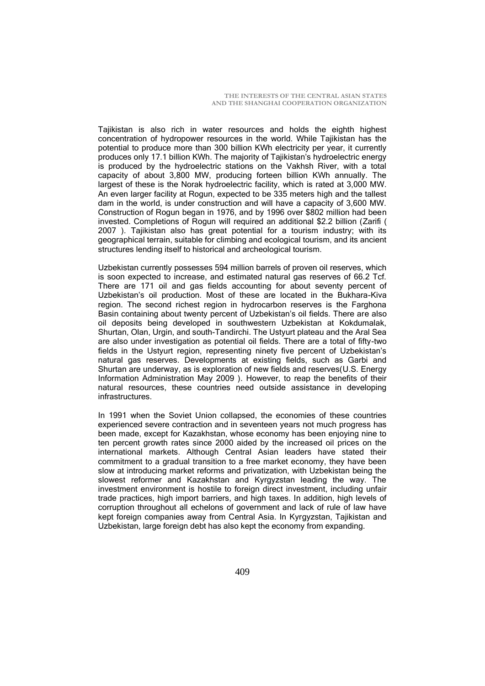Tajikistan is also rich in water resources and holds the eighth highest concentration of hydropower resources in the world. While Tajikistan has the potential to produce more than 300 billion KWh electricity per year, it currently produces only 17.1 billion KWh. The majority of Tajikistan's hydroelectric energy is produced by the hydroelectric stations on the Vakhsh River, with a total capacity of about 3,800 MW, producing forteen billion KWh annually. The largest of these is the Norak hydroelectric facility, which is rated at 3,000 MW. An even larger facility at Rogun, expected to be 335 meters high and the tallest dam in the world, is under construction and will have a capacity of 3,600 MW. Construction of Rogun began in 1976, and by 1996 over \$802 million had been invested. Completions of Rogun will required an additional \$2.2 billion (Zarifi ( 2007 ). Tajikistan also has great potential for a tourism industry; with its geographical terrain, suitable for climbing and ecological tourism, and its ancient structures lending itself to historical and archeological tourism.

Uzbekistan currently possesses 594 million barrels of proven oil reserves, which is soon expected to increase, and estimated natural gas reserves of 66.2 Tcf. There are 171 oil and gas fields accounting for about seventy percent of Uzbekistan's oil production. Most of these are located in the Bukhara-Kiva region. The second richest region in hydrocarbon reserves is the Farghona Basin containing about twenty percent of Uzbekistan's oil fields. There are also oil deposits being developed in southwestern Uzbekistan at Kokdumalak, Shurtan, Olan, Urgin, and south-Tandirchi. The Ustyurt plateau and the Aral Sea are also under investigation as potential oil fields. There are a total of fifty-two fields in the Ustyurt region, representing ninety five percent of Uzbekistan's natural gas reserves. Developments at existing fields, such as Garbi and Shurtan are underway, as is exploration of new fields and reserves(U.S. Energy Information Administration May 2009 ). However, to reap the benefits of their natural resources, these countries need outside assistance in developing infrastructures.

In 1991 when the Soviet Union collapsed, the economies of these countries experienced severe contraction and in seventeen years not much progress has been made, except for Kazakhstan, whose economy has been enjoying nine to ten percent growth rates since 2000 aided by the increased oil prices on the international markets. Although Central Asian leaders have stated their commitment to a gradual transition to a free market economy, they have been slow at introducing market reforms and privatization, with Uzbekistan being the slowest reformer and Kazakhstan and Kyrgyzstan leading the way. The investment environment is hostile to foreign direct investment, including unfair trade practices, high import barriers, and high taxes. In addition, high levels of corruption throughout all echelons of government and lack of rule of law have kept foreign companies away from Central Asia. In Kyrgyzstan, Tajikistan and Uzbekistan, large foreign debt has also kept the economy from expanding.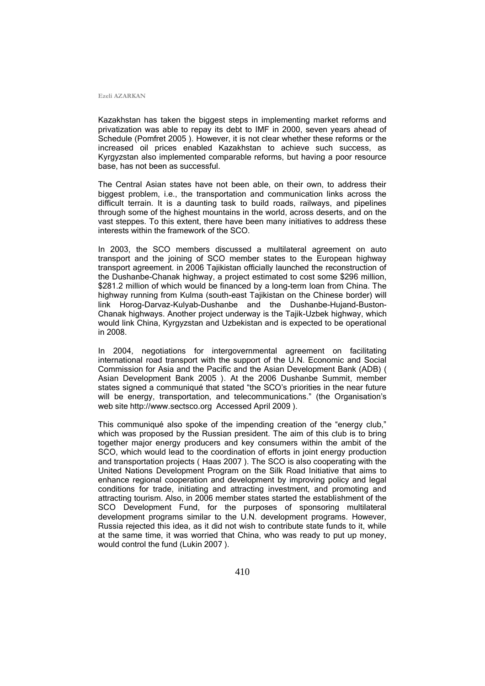Kazakhstan has taken the biggest steps in implementing market reforms and privatization was able to repay its debt to IMF in 2000, seven years ahead of Schedule (Pomfret 2005 ). However, it is not clear whether these reforms or the increased oil prices enabled Kazakhstan to achieve such success, as Kyrgyzstan also implemented comparable reforms, but having a poor resource base, has not been as successful.

The Central Asian states have not been able, on their own, to address their biggest problem, i.e., the transportation and communication links across the difficult terrain. It is a daunting task to build roads, railways, and pipelines through some of the highest mountains in the world, across deserts, and on the vast steppes. To this extent, there have been many initiatives to address these interests within the framework of the SCO.

In 2003, the SCO members discussed a multilateral agreement on auto transport and the joining of SCO member states to the European highway transport agreement. in 2006 Tajikistan officially launched the reconstruction of the Dushanbe-Chanak highway, a project estimated to cost some \$296 million, \$281.2 million of which would be financed by a long-term loan from China. The highway running from Kulma (south-east Tajikistan on the Chinese border) will link Horog-Darvaz-Kulyab-Dushanbe and the Dushanbe-Hujand-Buston-Chanak highways. Another project underway is the Tajik-Uzbek highway, which would link China, Kyrgyzstan and Uzbekistan and is expected to be operational in 2008.

In 2004, negotiations for intergovernmental agreement on facilitating international road transport with the support of the U.N. Economic and Social Commission for Asia and the Pacific and the Asian Development Bank (ADB) ( Asian Development Bank 2005 ). At the 2006 Dushanbe Summit, member states signed a communiqué that stated "the SCO's priorities in the near future will be energy, transportation, and telecommunications." (the Organisation's web site http://www.sectsco.org Accessed April 2009 ).

This communiqué also spoke of the impending creation of the "energy club," which was proposed by the Russian president. The aim of this club is to bring together major energy producers and key consumers within the ambit of the SCO, which would lead to the coordination of efforts in joint energy production and transportation projects ( Haas 2007 ). The SCO is also cooperating with the United Nations Development Program on the Silk Road Initiative that aims to enhance regional cooperation and development by improving policy and legal conditions for trade, initiating and attracting investment, and promoting and attracting tourism. Also, in 2006 member states started the establishment of the SCO Development Fund, for the purposes of sponsoring multilateral development programs similar to the U.N. development programs. However, Russia rejected this idea, as it did not wish to contribute state funds to it, while at the same time, it was worried that China, who was ready to put up money, would control the fund (Lukin 2007 ).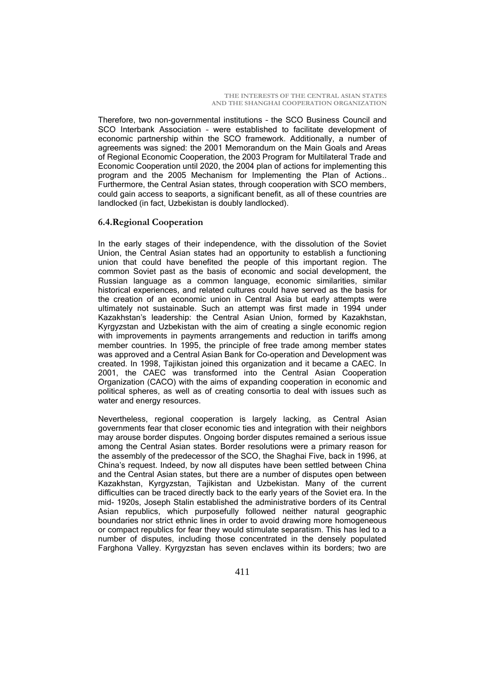Therefore, two non-governmental institutions – the SCO Business Council and SCO Interbank Association – were established to facilitate development of economic partnership within the SCO framework. Additionally, a number of agreements was signed: the 2001 Memorandum on the Main Goals and Areas of Regional Economic Cooperation, the 2003 Program for Multilateral Trade and Economic Cooperation until 2020, the 2004 plan of actions for implementing this program and the 2005 Mechanism for Implementing the Plan of Actions.. Furthermore, the Central Asian states, through cooperation with SCO members, could gain access to seaports, a significant benefit, as all of these countries are landlocked (in fact, Uzbekistan is doubly landlocked).

### **6.4.Regional Cooperation**

In the early stages of their independence, with the dissolution of the Soviet Union, the Central Asian states had an opportunity to establish a functioning union that could have benefited the people of this important region. The common Soviet past as the basis of economic and social development, the Russian language as a common language, economic similarities, similar historical experiences, and related cultures could have served as the basis for the creation of an economic union in Central Asia but early attempts were ultimately not sustainable. Such an attempt was first made in 1994 under Kazakhstan's leadership: the Central Asian Union, formed by Kazakhstan, Kyrgyzstan and Uzbekistan with the aim of creating a single economic region with improvements in payments arrangements and reduction in tariffs among member countries. In 1995, the principle of free trade among member states was approved and a Central Asian Bank for Co-operation and Development was created. In 1998, Tajikistan joined this organization and it became a CAEC. In 2001, the CAEC was transformed into the Central Asian Cooperation Organization (CACO) with the aims of expanding cooperation in economic and political spheres, as well as of creating consortia to deal with issues such as water and energy resources.

Nevertheless, regional cooperation is largely lacking, as Central Asian governments fear that closer economic ties and integration with their neighbors may arouse border disputes. Ongoing border disputes remained a serious issue among the Central Asian states. Border resolutions were a primary reason for the assembly of the predecessor of the SCO, the Shaghai Five, back in 1996, at China's request. Indeed, by now all disputes have been settled between China and the Central Asian states, but there are a number of disputes open between Kazakhstan, Kyrgyzstan, Tajikistan and Uzbekistan. Many of the current difficulties can be traced directly back to the early years of the Soviet era. In the mid- 1920s, Joseph Stalin established the administrative borders of its Central Asian republics, which purposefully followed neither natural geographic boundaries nor strict ethnic lines in order to avoid drawing more homogeneous or compact republics for fear they would stimulate separatism. This has led to a number of disputes, including those concentrated in the densely populated Farghona Valley. Kyrgyzstan has seven enclaves within its borders; two are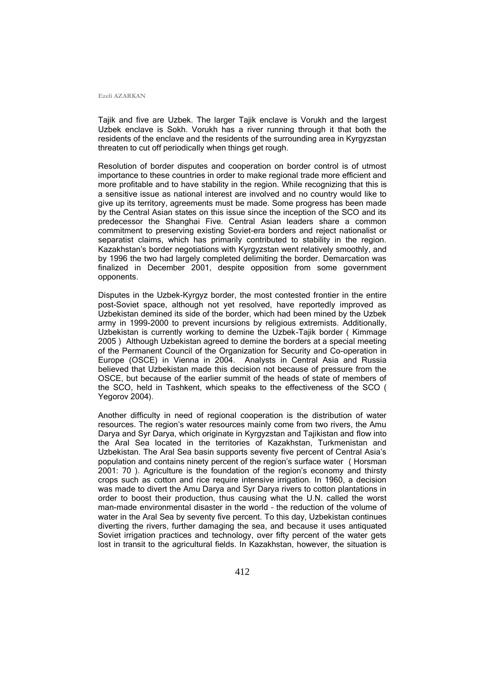Tajik and five are Uzbek. The larger Tajik enclave is Vorukh and the largest Uzbek enclave is Sokh. Vorukh has a river running through it that both the residents of the enclave and the residents of the surrounding area in Kyrgyzstan threaten to cut off periodically when things get rough.

Resolution of border disputes and cooperation on border control is of utmost importance to these countries in order to make regional trade more efficient and more profitable and to have stability in the region. While recognizing that this is a sensitive issue as national interest are involved and no country would like to give up its territory, agreements must be made. Some progress has been made by the Central Asian states on this issue since the inception of the SCO and its predecessor the Shanghai Five. Central Asian leaders share a common commitment to preserving existing Soviet-era borders and reject nationalist or separatist claims, which has primarily contributed to stability in the region. Kazakhstan's border negotiations with Kyrgyzstan went relatively smoothly, and by 1996 the two had largely completed delimiting the border. Demarcation was finalized in December 2001, despite opposition from some government opponents.

Disputes in the Uzbek-Kyrgyz border, the most contested frontier in the entire post-Soviet space, although not yet resolved, have reportedly improved as Uzbekistan demined its side of the border, which had been mined by the Uzbek army in 1999-2000 to prevent incursions by religious extremists. Additionally, Uzbekistan is currently working to demine the Uzbek-Tajik border ( Kimmage 2005 ) Although Uzbekistan agreed to demine the borders at a special meeting of the Permanent Council of the Organization for Security and Co-operation in Europe (OSCE) in Vienna in 2004. Analysts in Central Asia and Russia believed that Uzbekistan made this decision not because of pressure from the OSCE, but because of the earlier summit of the heads of state of members of the SCO, held in Tashkent, which speaks to the effectiveness of the SCO ( Yegorov 2004).

Another difficulty in need of regional cooperation is the distribution of water resources. The region's water resources mainly come from two rivers, the Amu Darya and Syr Darya, which originate in Kyrgyzstan and Tajikistan and flow into the Aral Sea located in the territories of Kazakhstan, Turkmenistan and Uzbekistan. The Aral Sea basin supports seventy five percent of Central Asia's population and contains ninety percent of the region's surface water ( Horsman 2001: 70 ). Agriculture is the foundation of the region's economy and thirsty crops such as cotton and rice require intensive irrigation. In 1960, a decision was made to divert the Amu Darya and Syr Darya rivers to cotton plantations in order to boost their production, thus causing what the U.N. called the worst man-made environmental disaster in the world – the reduction of the volume of water in the Aral Sea by seventy five percent. To this day, Uzbekistan continues diverting the rivers, further damaging the sea, and because it uses antiquated Soviet irrigation practices and technology, over fifty percent of the water gets lost in transit to the agricultural fields. In Kazakhstan, however, the situation is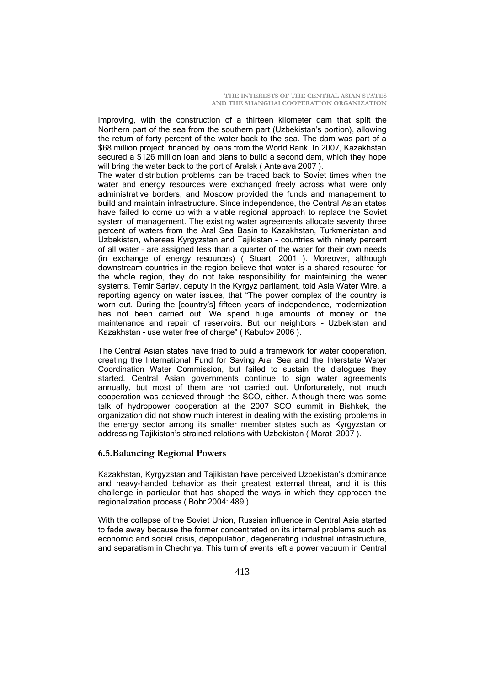improving, with the construction of a thirteen kilometer dam that split the Northern part of the sea from the southern part (Uzbekistan's portion), allowing the return of forty percent of the water back to the sea. The dam was part of a \$68 million project, financed by loans from the World Bank. In 2007, Kazakhstan secured a \$126 million loan and plans to build a second dam, which they hope will bring the water back to the port of Aralsk (Antelava 2007).

The water distribution problems can be traced back to Soviet times when the water and energy resources were exchanged freely across what were only administrative borders, and Moscow provided the funds and management to build and maintain infrastructure. Since independence, the Central Asian states have failed to come up with a viable regional approach to replace the Soviet system of management. The existing water agreements allocate seventy three percent of waters from the Aral Sea Basin to Kazakhstan, Turkmenistan and Uzbekistan, whereas Kyrgyzstan and Tajikistan – countries with ninety percent of all water – are assigned less than a quarter of the water for their own needs (in exchange of energy resources) ( Stuart. 2001 ). Moreover, although downstream countries in the region believe that water is a shared resource for the whole region, they do not take responsibility for maintaining the water systems. Temir Sariev, deputy in the Kyrgyz parliament, told Asia Water Wire, a reporting agency on water issues, that "The power complex of the country is worn out. During the [country's] fifteen years of independence, modernization has not been carried out. We spend huge amounts of money on the maintenance and repair of reservoirs. But our neighbors – Uzbekistan and Kazakhstan - use water free of charge" (Kabulov 2006).

The Central Asian states have tried to build a framework for water cooperation, creating the International Fund for Saving Aral Sea and the Interstate Water Coordination Water Commission, but failed to sustain the dialogues they started. Central Asian governments continue to sign water agreements annually, but most of them are not carried out. Unfortunately, not much cooperation was achieved through the SCO, either. Although there was some talk of hydropower cooperation at the 2007 SCO summit in Bishkek, the organization did not show much interest in dealing with the existing problems in the energy sector among its smaller member states such as Kyrgyzstan or addressing Tajikistan's strained relations with Uzbekistan ( Marat 2007 ).

### **6.5.Balancing Regional Powers**

Kazakhstan, Kyrgyzstan and Tajikistan have perceived Uzbekistan's dominance and heavy-handed behavior as their greatest external threat, and it is this challenge in particular that has shaped the ways in which they approach the regionalization process ( Bohr 2004: 489 ).

With the collapse of the Soviet Union, Russian influence in Central Asia started to fade away because the former concentrated on its internal problems such as economic and social crisis, depopulation, degenerating industrial infrastructure, and separatism in Chechnya. This turn of events left a power vacuum in Central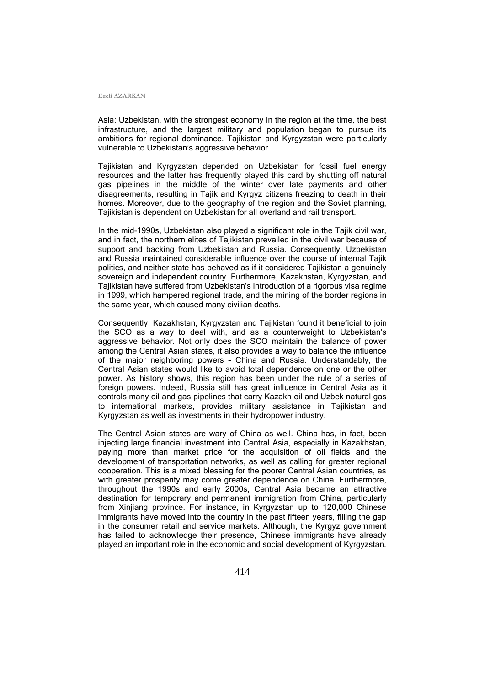Asia: Uzbekistan, with the strongest economy in the region at the time, the best infrastructure, and the largest military and population began to pursue its ambitions for regional dominance. Tajikistan and Kyrgyzstan were particularly vulnerable to Uzbekistan's aggressive behavior.

Tajikistan and Kyrgyzstan depended on Uzbekistan for fossil fuel energy resources and the latter has frequently played this card by shutting off natural gas pipelines in the middle of the winter over late payments and other disagreements, resulting in Tajik and Kyrgyz citizens freezing to death in their homes. Moreover, due to the geography of the region and the Soviet planning, Tajikistan is dependent on Uzbekistan for all overland and rail transport.

In the mid-1990s, Uzbekistan also played a significant role in the Tajik civil war, and in fact, the northern elites of Tajikistan prevailed in the civil war because of support and backing from Uzbekistan and Russia. Consequently, Uzbekistan and Russia maintained considerable influence over the course of internal Tajik politics, and neither state has behaved as if it considered Tajikistan a genuinely sovereign and independent country. Furthermore, Kazakhstan, Kyrgyzstan, and Tajikistan have suffered from Uzbekistan's introduction of a rigorous visa regime in 1999, which hampered regional trade, and the mining of the border regions in the same year, which caused many civilian deaths.

Consequently, Kazakhstan, Kyrgyzstan and Tajikistan found it beneficial to join the SCO as a way to deal with, and as a counterweight to Uzbekistan's aggressive behavior. Not only does the SCO maintain the balance of power among the Central Asian states, it also provides a way to balance the influence of the major neighboring powers – China and Russia. Understandably, the Central Asian states would like to avoid total dependence on one or the other power. As history shows, this region has been under the rule of a series of foreign powers. Indeed, Russia still has great influence in Central Asia as it controls many oil and gas pipelines that carry Kazakh oil and Uzbek natural gas to international markets, provides military assistance in Tajikistan and Kyrgyzstan as well as investments in their hydropower industry.

The Central Asian states are wary of China as well. China has, in fact, been injecting large financial investment into Central Asia, especially in Kazakhstan, paying more than market price for the acquisition of oil fields and the development of transportation networks, as well as calling for greater regional cooperation. This is a mixed blessing for the poorer Central Asian countries, as with greater prosperity may come greater dependence on China. Furthermore, throughout the 1990s and early 2000s, Central Asia became an attractive destination for temporary and permanent immigration from China, particularly from Xinjiang province. For instance, in Kyrgyzstan up to 120,000 Chinese immigrants have moved into the country in the past fifteen years, filling the gap in the consumer retail and service markets. Although, the Kyrgyz government has failed to acknowledge their presence, Chinese immigrants have already played an important role in the economic and social development of Kyrgyzstan.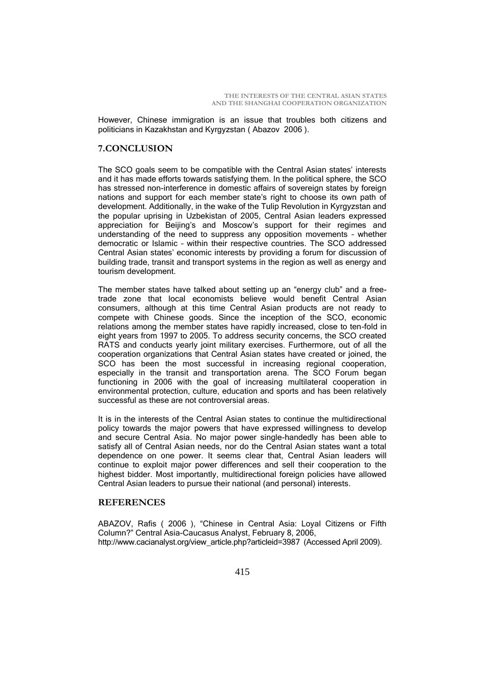However, Chinese immigration is an issue that troubles both citizens and politicians in Kazakhstan and Kyrgyzstan ( Abazov 2006 ).

## **7.CONCLUSION**

The SCO goals seem to be compatible with the Central Asian states' interests and it has made efforts towards satisfying them. In the political sphere, the SCO has stressed non-interference in domestic affairs of sovereign states by foreign nations and support for each member state's right to choose its own path of development. Additionally, in the wake of the Tulip Revolution in Kyrgyzstan and the popular uprising in Uzbekistan of 2005, Central Asian leaders expressed appreciation for Beijing's and Moscow's support for their regimes and understanding of the need to suppress any opposition movements – whether democratic or Islamic – within their respective countries. The SCO addressed Central Asian states' economic interests by providing a forum for discussion of building trade, transit and transport systems in the region as well as energy and tourism development.

The member states have talked about setting up an "energy club" and a freetrade zone that local economists believe would benefit Central Asian consumers, although at this time Central Asian products are not ready to compete with Chinese goods. Since the inception of the SCO, economic relations among the member states have rapidly increased, close to ten-fold in eight years from 1997 to 2005. To address security concerns, the SCO created RATS and conducts yearly joint military exercises. Furthermore, out of all the cooperation organizations that Central Asian states have created or joined, the SCO has been the most successful in increasing regional cooperation, especially in the transit and transportation arena. The SCO Forum began functioning in 2006 with the goal of increasing multilateral cooperation in environmental protection, culture, education and sports and has been relatively successful as these are not controversial areas.

It is in the interests of the Central Asian states to continue the multidirectional policy towards the major powers that have expressed willingness to develop and secure Central Asia. No major power single-handedly has been able to satisfy all of Central Asian needs, nor do the Central Asian states want a total dependence on one power. It seems clear that, Central Asian leaders will continue to exploit major power differences and sell their cooperation to the highest bidder. Most importantly, multidirectional foreign policies have allowed Central Asian leaders to pursue their national (and personal) interests.

### **REFERENCES**

ABAZOV, Rafis ( 2006 ), "Chinese in Central Asia: Loyal Citizens or Fifth Column?‖ Central Asia-Caucasus Analyst, February 8, 2006, http://www.cacianalyst.org/view\_article.php?articleid=3987 (Accessed April 2009).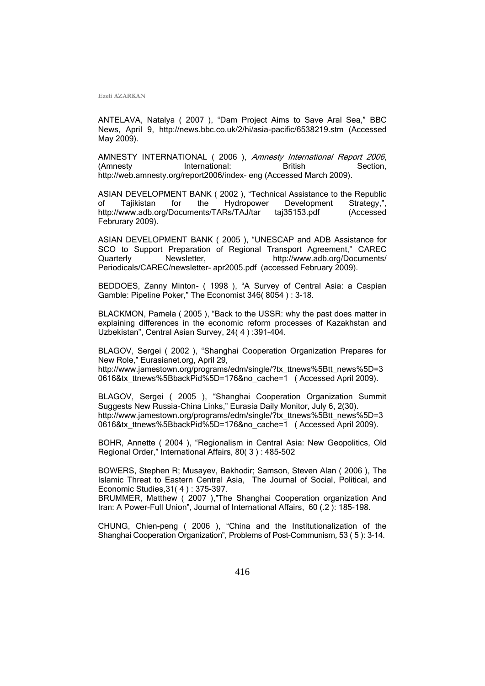ANTELAVA, Natalya ( 2007 ), "Dam Project Aims to Save Aral Sea," BBC News, April 9, http://news.bbc.co.uk/2/hi/asia-pacific/6538219.stm (Accessed May 2009).

AMNESTY INTERNATIONAL ( 2006 ), Amnesty International Report 2006, (Amnesty International: British Section, http://web.amnesty.org/report2006/index- eng (Accessed March 2009).

ASIAN DEVELOPMENT BANK (2002), "Technical Assistance to the Republic of Tajikistan for the Hydropower Development Strategy,", http://www.adb.org/Documents/TARs/TAJ/tar taj35153.pdf (Accessed Februrary 2009).

ASIAN DEVELOPMENT BANK (2005), "UNESCAP and ADB Assistance for SCO to Support Preparation of Regional Transport Agreement," CAREC Quarterly Mewsletter, http://www.adb.org/Documents/ Periodicals/CAREC/newsletter- apr2005.pdf (accessed February 2009).

BEDDOES, Zanny Minton- ( 1998 ), "A Survey of Central Asia: a Caspian Gamble: Pipeline Poker," The Economist 346(8054): 3-18.

BLACKMON, Pamela ( 2005), "Back to the USSR; why the past does matter in explaining differences in the economic reform processes of Kazakhstan and Uzbekistan", Central Asian Survey, 24(4): 391-404.

BLAGOV, Sergei ( 2002 ), "Shanghai Cooperation Organization Prepares for New Role," Eurasianet.org, April 29, http://www.jamestown.org/programs/edm/single/?tx\_ttnews%5Btt\_news%5D=3

0616&tx\_ttnews%5BbackPid%5D=176&no\_cache=1 ( Accessed April 2009).

BLAGOV, Sergei ( 2005 ), "Shanghai Cooperation Organization Summit Suggests New Russia-China Links," Eurasia Daily Monitor, July 6, 2(30). http://www.jamestown.org/programs/edm/single/?tx\_ttnews%5Btt\_news%5D=3 0616&tx\_ttnews%5BbackPid%5D=176&no\_cache=1 (Accessed April 2009).

BOHR, Annette ( 2004 ), "Regionalism in Central Asia: New Geopolitics, Old Regional Order," International Affairs, 80(3): 485-502

BOWERS, Stephen R; Musayev, Bakhodir; Samson, Steven Alan ( 2006 ), The Islamic Threat to Eastern Central Asia, The Journal of Social, Political, and Economic Studies,31( 4 ) : 375-397.

BRUMMER, Matthew ( 2007 ),"The Shanghai Cooperation organization And Iran: A Power-Full Union", Journal of International Affairs, 60 (.2): 185-198.

CHUNG, Chien-peng ( 2006 ), "China and the Institutionalization of the Shanghai Cooperation Organization", Problems of Post-Communism, 53 (5): 3-14.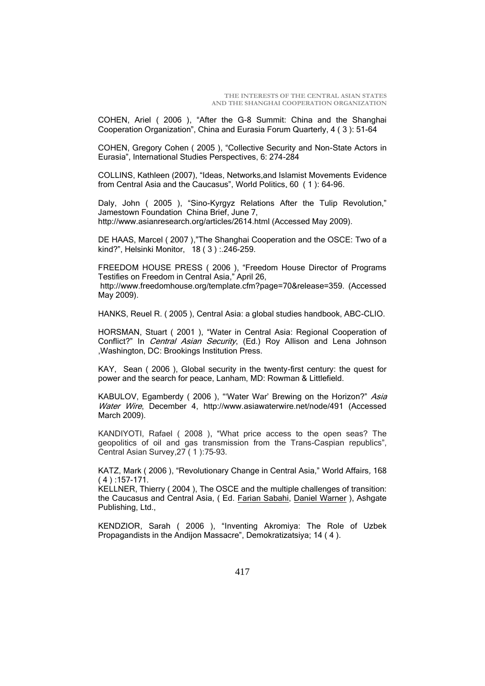COHEN, Ariel ( 2006 ), "After the G-8 Summit: China and the Shanghai Cooperation Organization", China and Eurasia Forum Quarterly, 4 (3): 51-64

COHEN, Gregory Cohen (2005), "Collective Security and Non-State Actors in Eurasia", International Studies Perspectives, 6: 274-284

COLLINS, Kathleen (2007), "Ideas, Networks, and Islamist Movements Evidence from Central Asia and the Caucasus", World Politics. 60 (1): 64-96.

Daly, John ( 2005 ), "Sino-Kyrgyz Relations After the Tulip Revolution," Jamestown Foundation China Brief, June 7, http://www.asianresearch.org/articles/2614.html (Accessed May 2009).

DE HAAS, Marcel (2007), "The Shanghai Cooperation and the OSCE: Two of a kind?", Helsinki Monitor, 18 (3) : . 246-259.

FREEDOM HOUSE PRESS (2006), "Freedom House Director of Programs Testifies on Freedom in Central Asia," April 26, http://www.freedomhouse.org/template.cfm?page=70&release=359. (Accessed May 2009).

HANKS, Reuel R. ( 2005 ), Central Asia: a global studies handbook, ABC-CLIO.

HORSMAN, Stuart ( 2001 ), "Water in Central Asia: Regional Cooperation of Conflict?" In Central Asian Security, (Ed.) Roy Allison and Lena Johnson ,Washington, DC: Brookings Institution Press.

KAY, Sean ( 2006 ), Global security in the twenty-first century: the quest for power and the search for peace, Lanham, MD: Rowman & Littlefield.

KABULOV, Egamberdy (2006), "Water War' Brewing on the Horizon?" Asia Water Wire, December 4, http://www.asiawaterwire.net/node/491 (Accessed March 2009).

KANDIYOTI, Rafael ( 2008 ), "What price access to the open seas? The geopolitics of oil and gas transmission from the Trans-Caspian republics", Central Asian Survey,27 ( 1 ):75–93.

KATZ, Mark (2006), "Revolutionary Change in Central Asia," World Affairs, 168 ( 4 ) :157-171.

KELLNER, Thierry ( 2004 ), The OSCE and the multiple challenges of transition: the Caucasus and Central Asia, ( Ed. [Farian Sabahi,](http://books.google.com.tr/books?q=+inauthor:%22Farian+Sabahi%22&source=gbs_metadata_r&cad=10) [Daniel Warner](http://books.google.com.tr/books?q=+inauthor:%22Daniel+Warner%22&source=gbs_metadata_r&cad=10) ), Ashgate Publishing, Ltd.,

KENDZIOR, Sarah ( 2006 ), "Inventing Akromiya: The Role of Uzbek Propagandists in the Andijon Massacre", Demokratizatsiya; 14 (4).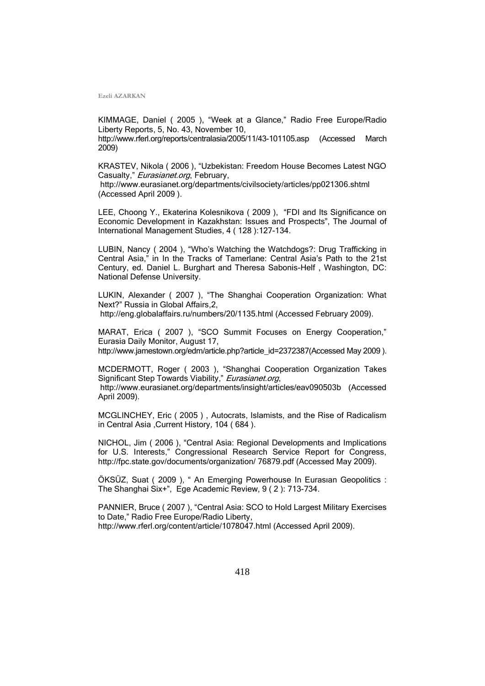KIMMAGE, Daniel ( 2005 ), "Week at a Glance," Radio Free Europe/Radio Liberty Reports, 5, No. 43, November 10, http://www.rferl.org/reports/centralasia/2005/11/43-101105.asp (Accessed March 2009)

KRASTEV, Nikola (2006), "Uzbekistan: Freedom House Becomes Latest NGO Casualty," Eurasianet.org, February, http://www.eurasianet.org/departments/civilsociety/articles/pp021306.shtml (Accessed April 2009 ).

LEE, Choong Y., Ekaterina Kolesnikova (2009), "FDI and Its Significance on Economic Development in Kazakhstan: Issues and Prospects". The Journal of International Management Studies, 4 ( 128 ):127-134.

LUBIN, Nancy (2004), "Who's Watching the Watchdogs?: Drug Trafficking in Central Asia," in In the Tracks of Tamerlane: Central Asia's Path to the 21st Century, ed. Daniel L. Burghart and Theresa Sabonis-Helf , Washington, DC: National Defense University.

LUKIN, Alexander ( 2007 ), "The Shanghai Cooperation Organization: What Next?" Russia in Global Affairs, 2.

http://eng.globalaffairs.ru/numbers/20/1135.html (Accessed February 2009).

MARAT, Erica ( 2007 ), "SCO Summit Focuses on Energy Cooperation," Eurasia Daily Monitor, August 17, http://www.jamestown.org/edm/article.php?article\_id=2372387(Accessed May 2009).

MCDERMOTT, Roger ( 2003 ), "Shanghai Cooperation Organization Takes Significant Step Towards Viability," Eurasianet.org, http://www.eurasianet.org/departments/insight/articles/eav090503b (Accessed April 2009).

MCGLINCHEY, Eric ( 2005 ) , Autocrats, Islamists, and the Rise of Radicalism in Central Asia ,Current History, 104 ( 684 ).

NICHOL, Jim ( 2006 ), "Central Asia: Regional Developments and Implications for U.S. Interests," Congressional Research Service Report for Congress, http://fpc.state.gov/documents/organization/ 76879.pdf (Accessed May 2009).

ÖKSÜZ, Suat ( 2009 ), " An Emerging Powerhouse In Eurasian Geopolitics : The Shanghai Six+", Ege Academic Review, 9 (2): 713-734.

PANNIER, Bruce (2007), "Central Asia: SCO to Hold Largest Military Exercises to Date," Radio Free Europe/Radio Liberty, http://www.rferl.org/content/article/1078047.html (Accessed April 2009).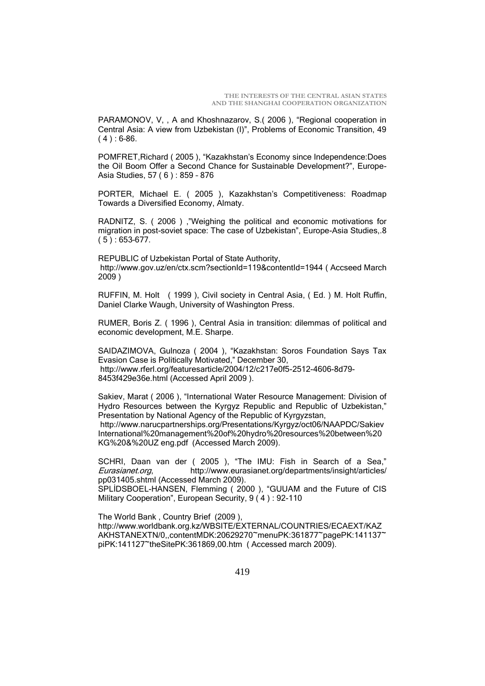**THE INTERESTS OF THE CENTRAL ASIAN STATES AND THE SHANGHAI COOPERATION ORGANIZATION**

PARAMONOV, V,, A and Khoshnazarov, S.( 2006 ), "Regional cooperation in Central Asia: A view from Uzbekistan (I)", Problems of Economic Transition, 49  $(4) : 6-86.$ 

POMFRET, Richard (2005), "Kazakhstan's Economy since Independence: Does the Oil Boom Offer a Second Chance for Sustainable Development?", Europe-Asia Studies, 57 ( 6 ) : 859 – 876

PORTER, Michael E. ( 2005 ), Kazakhstan's Competitiveness: Roadmap Towards a Diversified Economy, Almaty.

RADNITZ, S. (2006). "Weighing the political and economic motivations for migration in post-soviet space: The case of Uzbekistan", Europe-Asia Studies..8  $(5) : 653-677.$ 

REPUBLIC of Uzbekistan Portal of State Authority, http://www.gov.uz/en/ctx.scm?sectionId=119&contentId=1944 ( Accseed March 2009 )

RUFFIN, M. Holt ( 1999 ), Civil society in Central Asia, ( Ed. ) M. Holt Ruffin, Daniel Clarke Waugh, University of Washington Press.

RUMER, Boris Z. ( 1996 ), Central Asia in transition: dilemmas of political and economic development, M.E. Sharpe.

SAIDAZIMOVA, Gulnoza ( 2004 ), "Kazakhstan: Soros Foundation Says Tax Evasion Case is Politically Motivated," December 30, http://www.rferl.org/featuresarticle/2004/12/c217e0f5-2512-4606-8d79- 8453f429e36e.html (Accessed April 2009 ).

Sakiev, Marat (2006), "International Water Resource Management: Division of Hydro Resources between the Kyrgyz Republic and Republic of Uzbekistan," Presentation by National Agency of the Republic of Kyrgyzstan, http://www.narucpartnerships.org/Presentations/Kyrgyz/oct06/NAAPDC/Sakiev

International%20management%20of%20hydro%20resources%20between%20 KG%20&%20UZ eng.pdf (Accessed March 2009).

SCHRI, Daan van der ( 2005 ), "The IMU: Fish in Search of a Sea," Eurasianet.org, http://www.eurasianet.org/departments/insight/articles/ pp031405.shtml (Accessed March 2009). SPLİDSBOEL-HANSEN, Flemming (2000), "GUUAM and the Future of CIS Military Cooperation", European Security, 9 (4): 92-110

The World Bank , Country Brief (2009 ), http://www.worldbank.org.kz/WBSITE/EXTERNAL/COUNTRIES/ECAEXT/KAZ AKHSTANEXTN/0,,contentMDK:20629270~menuPK:361877~pagePK:141137~ piPK:141127~theSitePK:361869,00.htm ( Accessed march 2009).